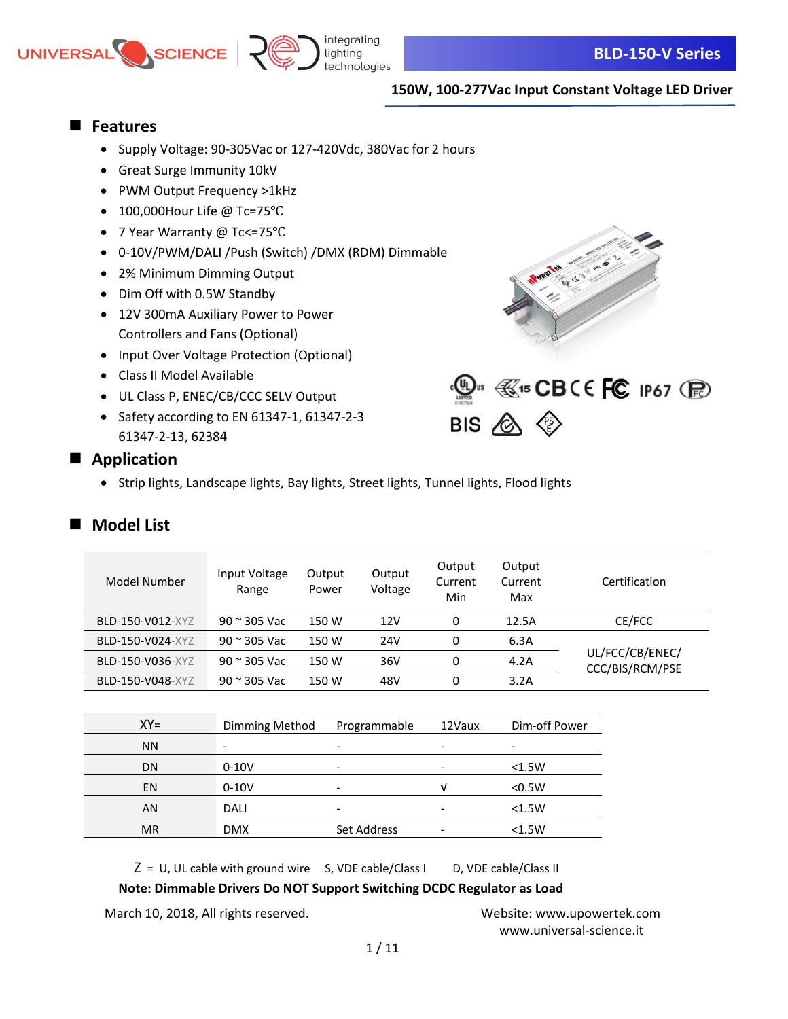



## ■ **Features**

- Supply Voltage: 90-305Vac or 127-420Vdc, 380Vac for 2 hours
- Great Surge Immunity 10kV
- PWM Output Frequency >1kHz
- 100,000Hour Life @ Tc=75℃
- 7 Year Warranty @ Tc<=75℃
- 0-10V/PWM/DALI /Push (Switch) /DMX (RDM) Dimmable
- 2% Minimum Dimming Output
- Dim Off with 0.5W Standby
- 12V 300mA Auxiliary Power to Power Controllers and Fans (Optional)
- Input Over Voltage Protection (Optional)
- Class II Model Available
- UL Class P, ENEC/CB/CCC SELV Output
- Safety according to EN 61347-1, 61347-2-3 61347-2-13, 62384





### ■ Application

• Strip lights, Landscape lights, Bay lights, Street lights, Tunnel lights, Flood lights

## ■ Model List

| Model Number     | Input Voltage<br>Range | Output<br>Power          | Output<br>Voltage | Output<br>Current<br>Min | Output<br>Current<br>Max | Certification                      |
|------------------|------------------------|--------------------------|-------------------|--------------------------|--------------------------|------------------------------------|
| BLD-150-V012-XYZ | $90$ $\approx$ 305 Vac | 150 W                    | 12V               | 0                        | 12.5A                    | CE/FCC                             |
| BLD-150-V024-XYZ | $90$ $\approx$ 305 Vac | 150 W                    | 24V               | 0                        | 6.3A                     |                                    |
| BLD-150-V036-XYZ | $90$ $\approx$ 305 Vac | 150 W                    | 36V               | 0                        | 4.2A                     | UL/FCC/CB/ENEC/<br>CCC/BIS/RCM/PSE |
| BLD-150-V048-XYZ | $90$ $\approx$ 305 Vac | 150 W                    | 48V               | 0                        | 3.2A                     |                                    |
|                  |                        |                          |                   |                          |                          |                                    |
| $XY=$            | Dimming Method         |                          | Programmable      | 12Vaux                   | Dim-off Power            |                                    |
| <b>NN</b>        | -                      | -                        |                   |                          | ٠                        |                                    |
| <b>DN</b>        | $0 - 10V$              | $\overline{\phantom{a}}$ |                   | ۰                        | < 1.5W                   |                                    |
| EN               | $0 - 10V$              | $\overline{\phantom{a}}$ |                   | $\sqrt{ }$               | < 0.5W                   |                                    |
| AN               | DALI                   | $\overline{\phantom{a}}$ |                   |                          | < 1.5W                   |                                    |

 $Z = U$ , UL cable with ground wire S, VDE cable/Class I D, VDE cable/Class II

#### **Note: Dimmable Drivers Do NOT Support Switching DCDC Regulator as Load**

MR DMX Set Address - <1.5W

March 10, 2018, All rights reserved. Website: [www.upowertek.com](http://www.upowertek.com/)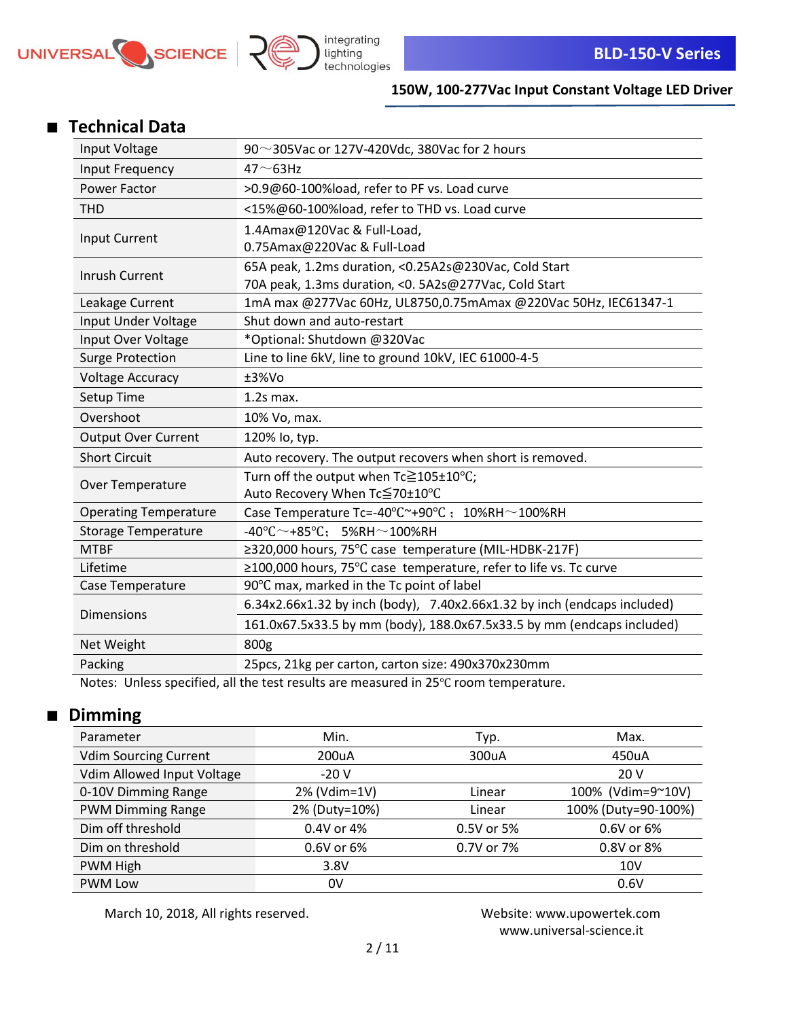



## ■ **Technical Data**

| Input Voltage                | 90 $\sim$ 305Vac or 127V-420Vdc, 380Vac for 2 hours                                 |  |
|------------------------------|-------------------------------------------------------------------------------------|--|
| Input Frequency              | $47 - 63$ Hz                                                                        |  |
| Power Factor                 | >0.9@60-100%load, refer to PF vs. Load curve                                        |  |
| <b>THD</b>                   | <15%@60-100%load, refer to THD vs. Load curve                                       |  |
| Input Current                | 1.4Amax@120Vac & Full-Load,                                                         |  |
|                              | 0.75Amax@220Vac & Full-Load                                                         |  |
| Inrush Current               | 65A peak, 1.2ms duration, <0.25A2s@230Vac, Cold Start                               |  |
|                              | 70A peak, 1.3ms duration, < 0. 5A2s@277Vac, Cold Start                              |  |
| Leakage Current              | 1mA max @277Vac 60Hz, UL8750,0.75mAmax @220Vac 50Hz, IEC61347-1                     |  |
| Input Under Voltage          | Shut down and auto-restart                                                          |  |
| Input Over Voltage           | *Optional: Shutdown @320Vac                                                         |  |
| <b>Surge Protection</b>      | Line to line 6kV, line to ground 10kV, IEC 61000-4-5                                |  |
| <b>Voltage Accuracy</b>      | ±3%Vo                                                                               |  |
| Setup Time                   | $1.2s$ max.                                                                         |  |
| Overshoot                    | 10% Vo, max.                                                                        |  |
| <b>Output Over Current</b>   | 120% lo, typ.                                                                       |  |
| <b>Short Circuit</b>         | Auto recovery. The output recovers when short is removed.                           |  |
|                              | Turn off the output when Tc≧105±10°C;                                               |  |
| Over Temperature             | Auto Recovery When Tc≦70±10°C                                                       |  |
| <b>Operating Temperature</b> | Case Temperature Tc=-40 $\degree$ C $\degree$ +90 $\degree$ C ; 10%RH $\sim$ 100%RH |  |
| <b>Storage Temperature</b>   | $-40^{\circ}$ C $\sim$ +85 $^{\circ}$ C; 5%RH $\sim$ 100%RH                         |  |
| <b>MTBF</b>                  | ≥320,000 hours, 75°C case temperature (MIL-HDBK-217F)                               |  |
| Lifetime                     | ≥100,000 hours, 75°C case temperature, refer to life vs. Tc curve                   |  |
| Case Temperature             | 90°C max, marked in the Tc point of label                                           |  |
| <b>Dimensions</b>            | 6.34x2.66x1.32 by inch (body), 7.40x2.66x1.32 by inch (endcaps included)            |  |
|                              | 161.0x67.5x33.5 by mm (body), 188.0x67.5x33.5 by mm (endcaps included)              |  |
| Net Weight                   | 800g                                                                                |  |
| Packing                      | 25pcs, 21kg per carton, carton size: 490x370x230mm                                  |  |
| مرم موم امراد بمصدم ۱۸       | cifical all the test results are measured in 2500 reage town                        |  |

Notes: Unless specified, all the test results are measured in 25℃ room temperature.

## ■ **Dimming**

| Parameter                    | Min.          | Typ.       | Max.                |
|------------------------------|---------------|------------|---------------------|
| <b>Vdim Sourcing Current</b> | 200uA         | 300uA      | 450uA               |
| Vdim Allowed Input Voltage   | $-20V$        |            | 20 V                |
| 0-10V Dimming Range          | 2% (Vdim=1V)  | Linear     | 100% (Vdim=9~10V)   |
| <b>PWM Dimming Range</b>     | 2% (Duty=10%) | Linear     | 100% (Duty=90-100%) |
| Dim off threshold            | 0.4V or 4%    | 0.5V or 5% | 0.6V or 6%          |
| Dim on threshold             | 0.6V or 6%    | 0.7V or 7% | 0.8V or 8%          |
| PWM High                     | 3.8V          |            | 10V                 |
| <b>PWM Low</b>               | 0V            |            | 0.6V                |

March 10, 2018, All rights reserved. Website: [www.upowertek.com](http://www.upowertek.com/)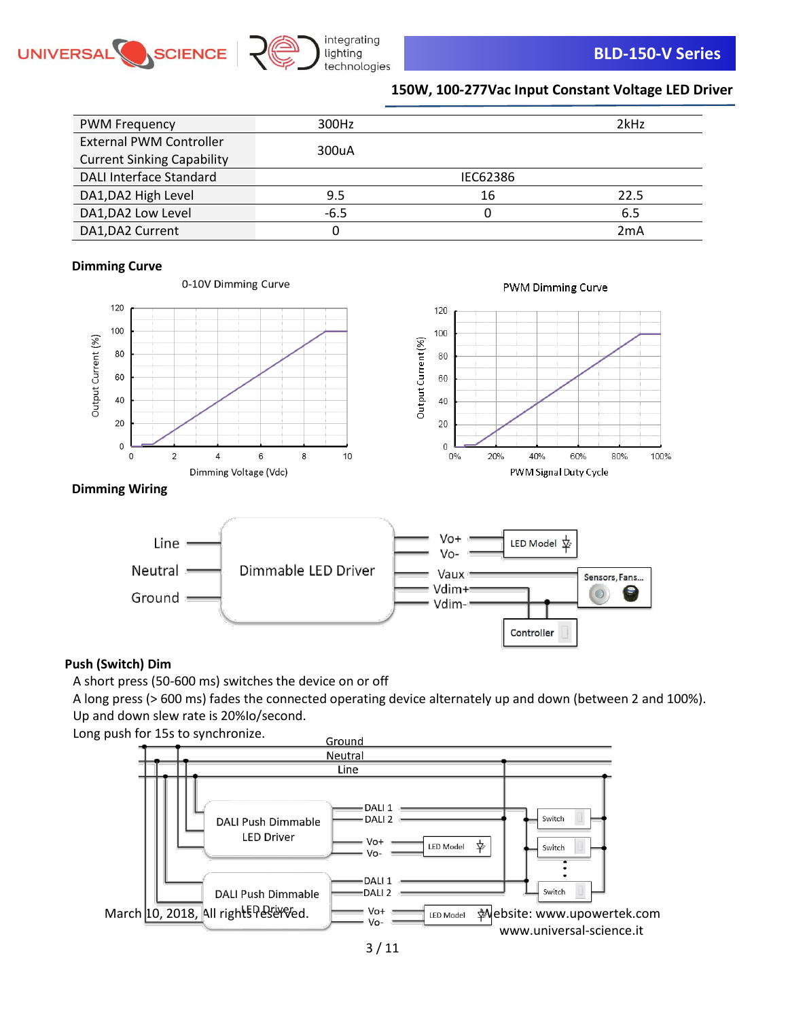



| <b>PWM Frequency</b>              | 300Hz  |          | 2kHz |
|-----------------------------------|--------|----------|------|
| <b>External PWM Controller</b>    |        |          |      |
| <b>Current Sinking Capability</b> | 300uA  |          |      |
| <b>DALI Interface Standard</b>    |        | IEC62386 |      |
| DA1, DA2 High Level               | 9.5    | 16       | 22.5 |
| DA1, DA2 Low Level                | $-6.5$ |          | 6.5  |
| DA1, DA2 Current                  |        |          | 2mA  |

### **Dimming Curve**







### **Dimming Wiring**



### **Push (Switch) Dim**

A short press (50-600 ms) switches the device on or off

A long press (> 600 ms) fades the connected operating device alternately up and down (between 2 and 100%). Up and down slew rate is 20%Io/second.

Long push for 15s to synchronize.

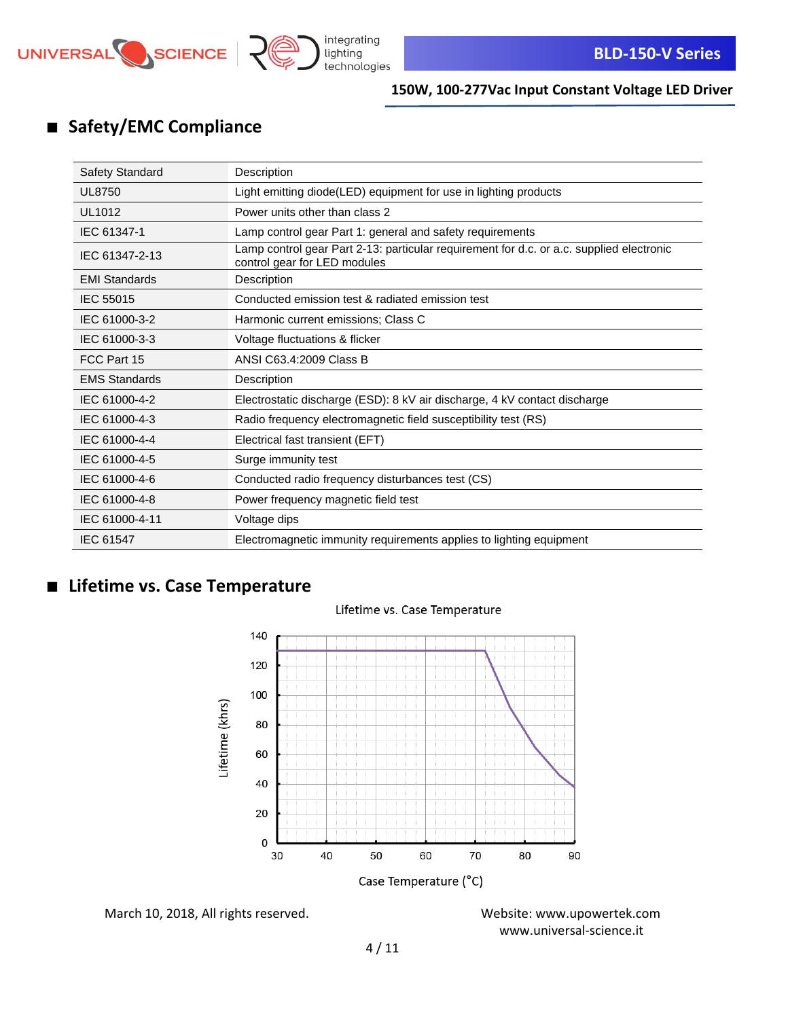

# ■ **Safety/EMC Compliance**

| <b>Safety Standard</b> | Description                                                                                                              |
|------------------------|--------------------------------------------------------------------------------------------------------------------------|
| <b>UL8750</b>          | Light emitting diode(LED) equipment for use in lighting products                                                         |
| UL1012                 | Power units other than class 2                                                                                           |
| IEC 61347-1            | Lamp control gear Part 1: general and safety requirements                                                                |
| IEC 61347-2-13         | Lamp control gear Part 2-13: particular requirement for d.c. or a.c. supplied electronic<br>control gear for LED modules |
| <b>EMI Standards</b>   | Description                                                                                                              |
| <b>IEC 55015</b>       | Conducted emission test & radiated emission test                                                                         |
| IEC 61000-3-2          | Harmonic current emissions; Class C                                                                                      |
| IEC 61000-3-3          | Voltage fluctuations & flicker                                                                                           |
| FCC Part 15            | ANSI C63.4:2009 Class B                                                                                                  |
| <b>EMS Standards</b>   | Description                                                                                                              |
| IEC 61000-4-2          | Electrostatic discharge (ESD): 8 kV air discharge, 4 kV contact discharge                                                |
| IEC 61000-4-3          | Radio frequency electromagnetic field susceptibility test (RS)                                                           |
| IEC 61000-4-4          | Electrical fast transient (EFT)                                                                                          |
| IEC 61000-4-5          | Surge immunity test                                                                                                      |
| IEC 61000-4-6          | Conducted radio frequency disturbances test (CS)                                                                         |
| IEC 61000-4-8          | Power frequency magnetic field test                                                                                      |
| IEC 61000-4-11         | Voltage dips                                                                                                             |
| IEC 61547              | Electromagnetic immunity requirements applies to lighting equipment                                                      |

# ■ **Lifetime vs. Case Temperature**



### Lifetime vs. Case Temperature

March 10, 2018, All rights reserved. Website: [www.upowertek.com](http://www.upowertek.com/)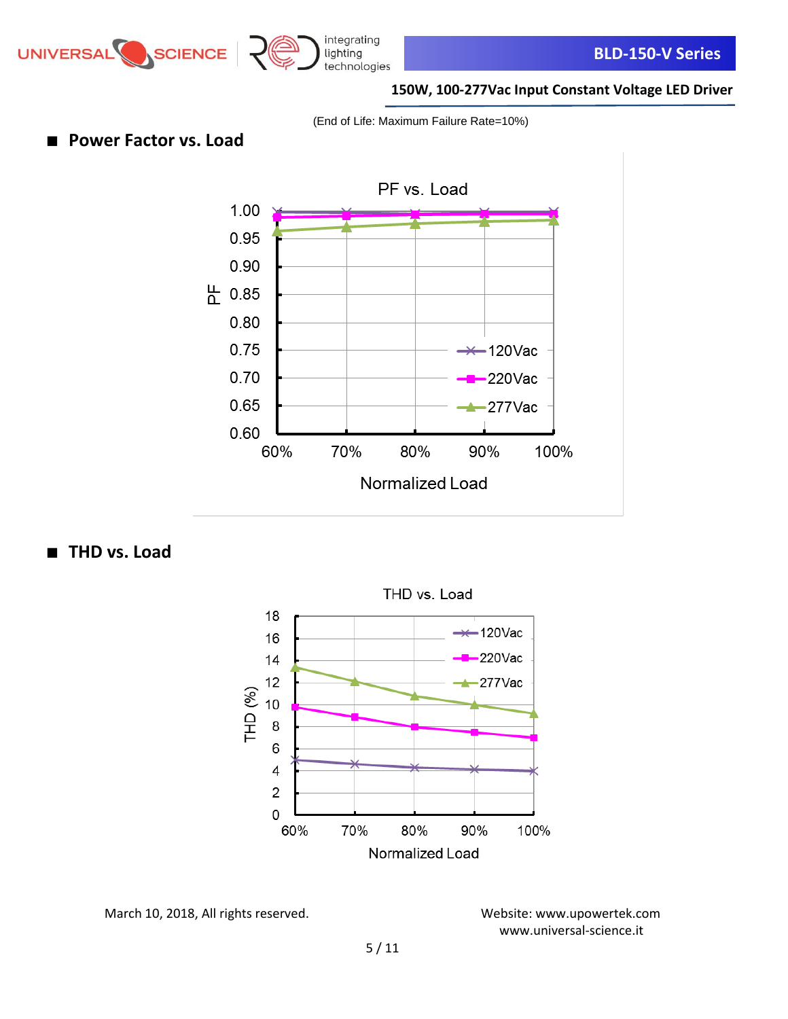

integrating

### **150W, 100-277Vac Input Constant Voltage LED Driver**

(End of Life: Maximum Failure Rate=10%)

■ **Power Factor vs. Load** 



■ **THD** vs. Load



March 10, 2018, All rights reserved. Website: [www.upowertek.com](http://www.upowertek.com/)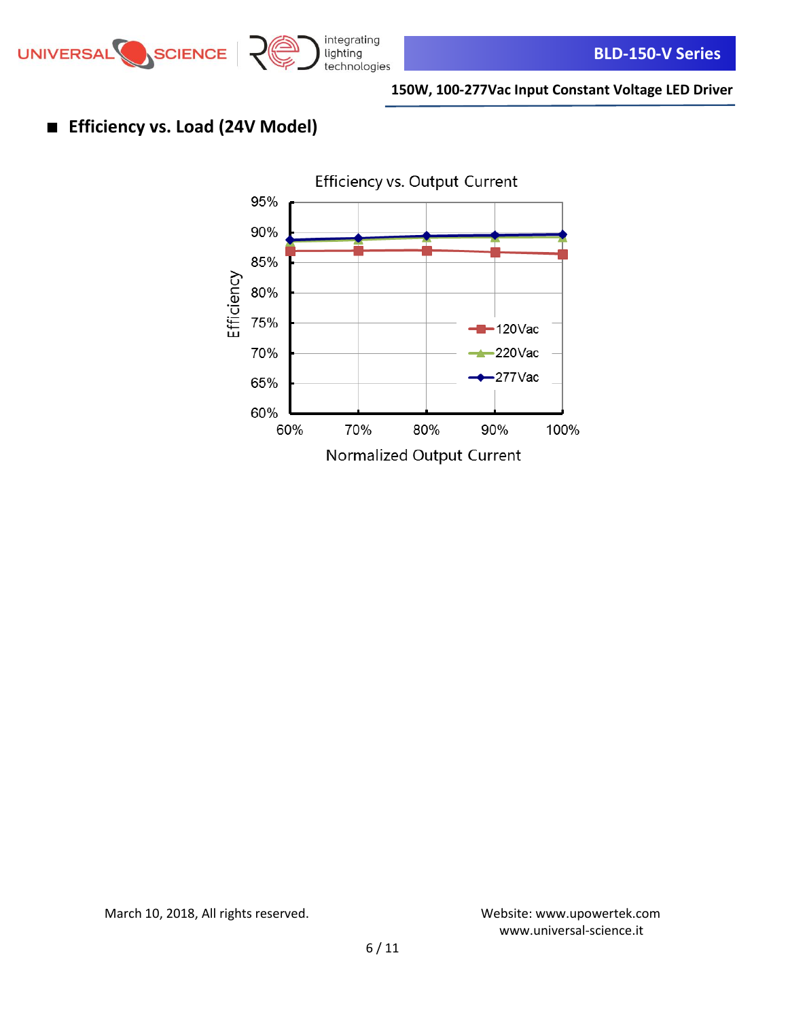

# ■ **Efficiency vs. Load (24V Model)**



March 10, 2018, All rights reserved. Website: [www.upowertek.com](http://www.upowertek.com/)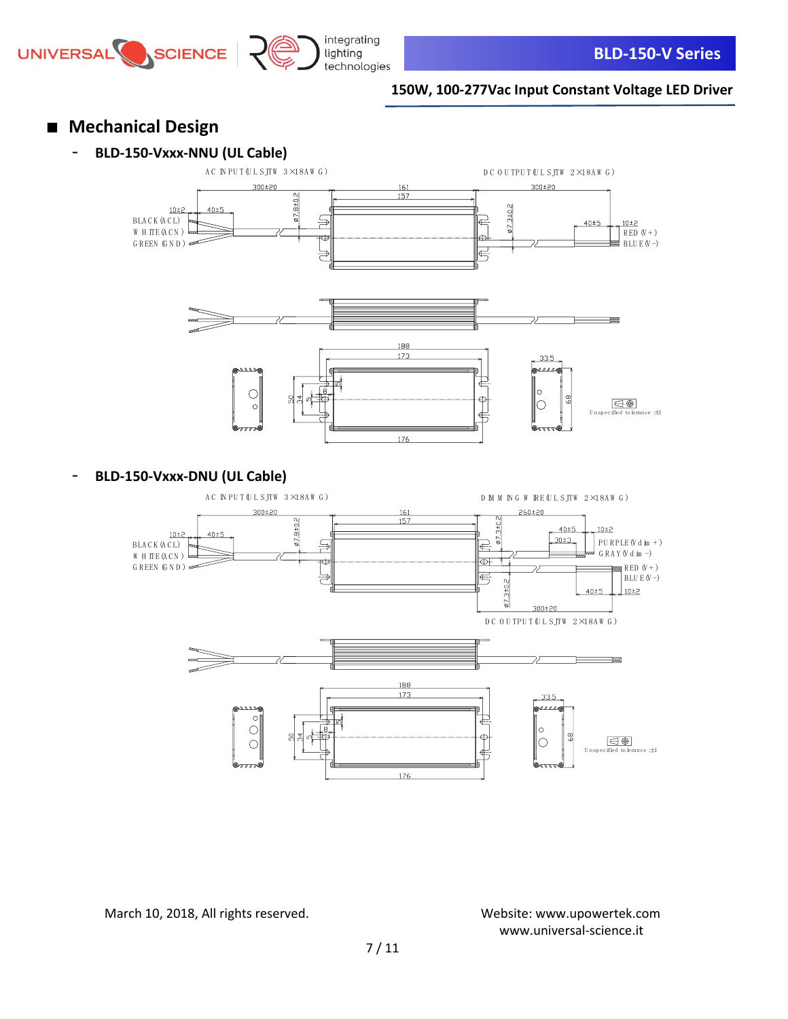



- **Mechanical Design**
	- **BLD-150-Vxxx-NNU (UL Cable)**





- **BLD-150-Vxxx-DNU (UL Cable)**

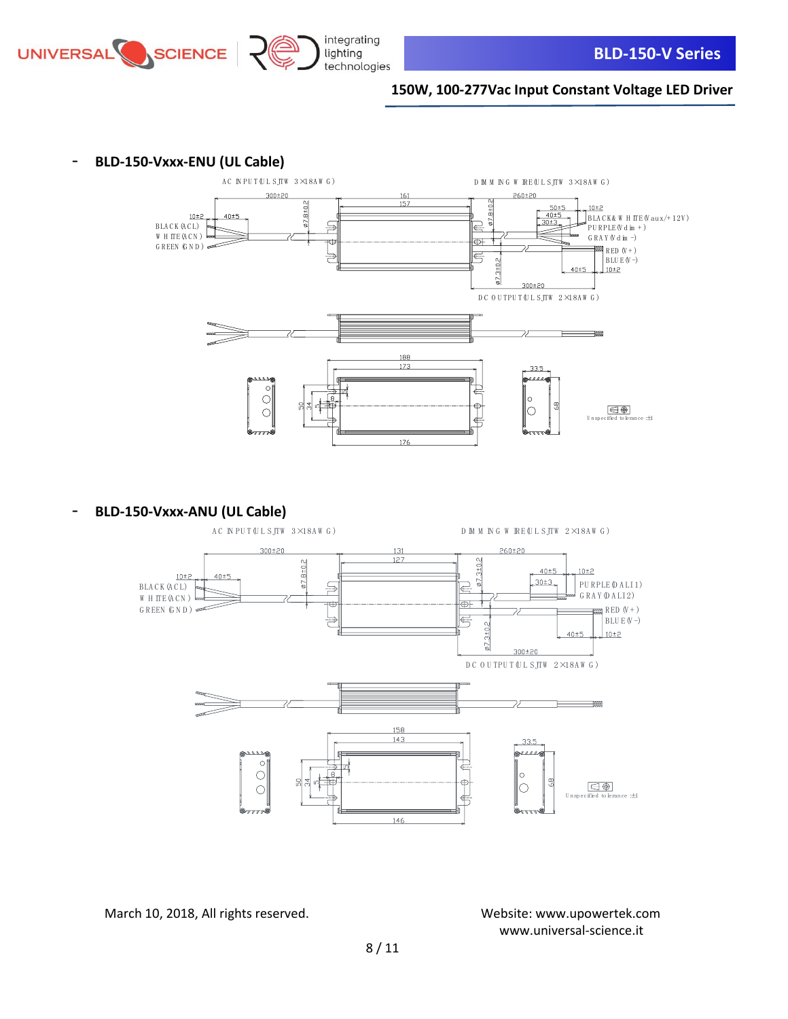



- **BLD-150-Vxxx-ENU (UL Cable)**



- **BLD-150-Vxxx-ANU (UL Cable)**



March 10, 2018, All rights reserved. Website: [www.upowertek.com](http://www.upowertek.com/)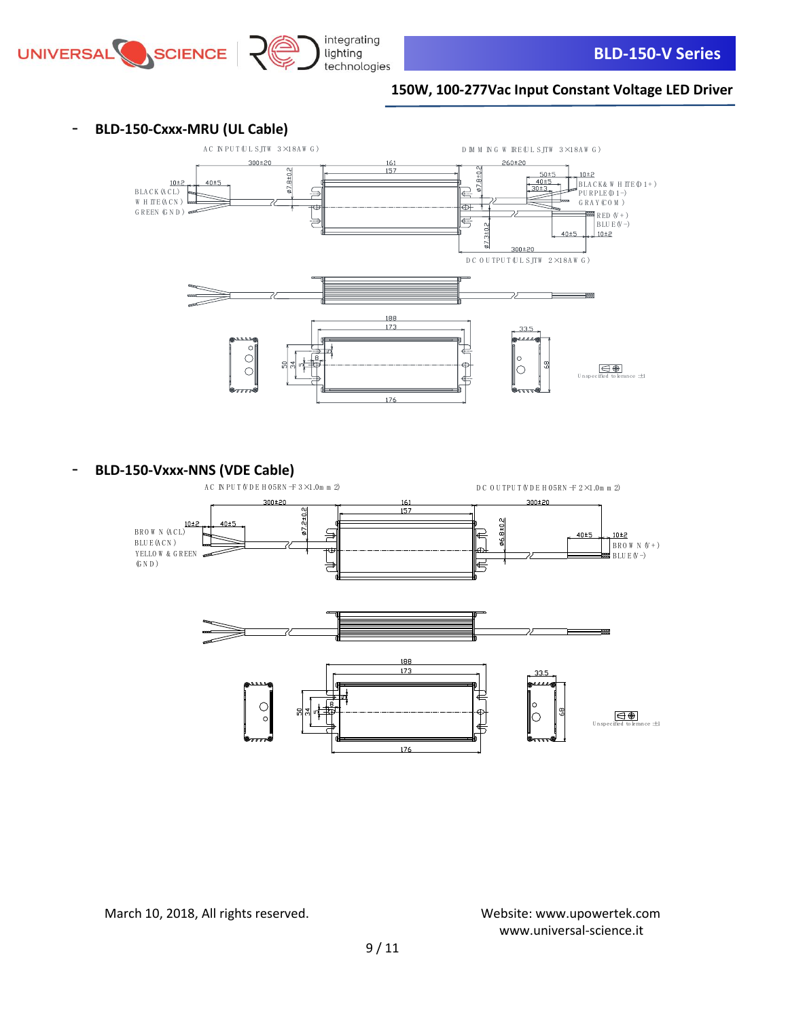





**- BLD-150-Vxxx-NNS (VDE Cable)**<br>AC NPUT WDE HOSRN -F 3×1.0m m 2)

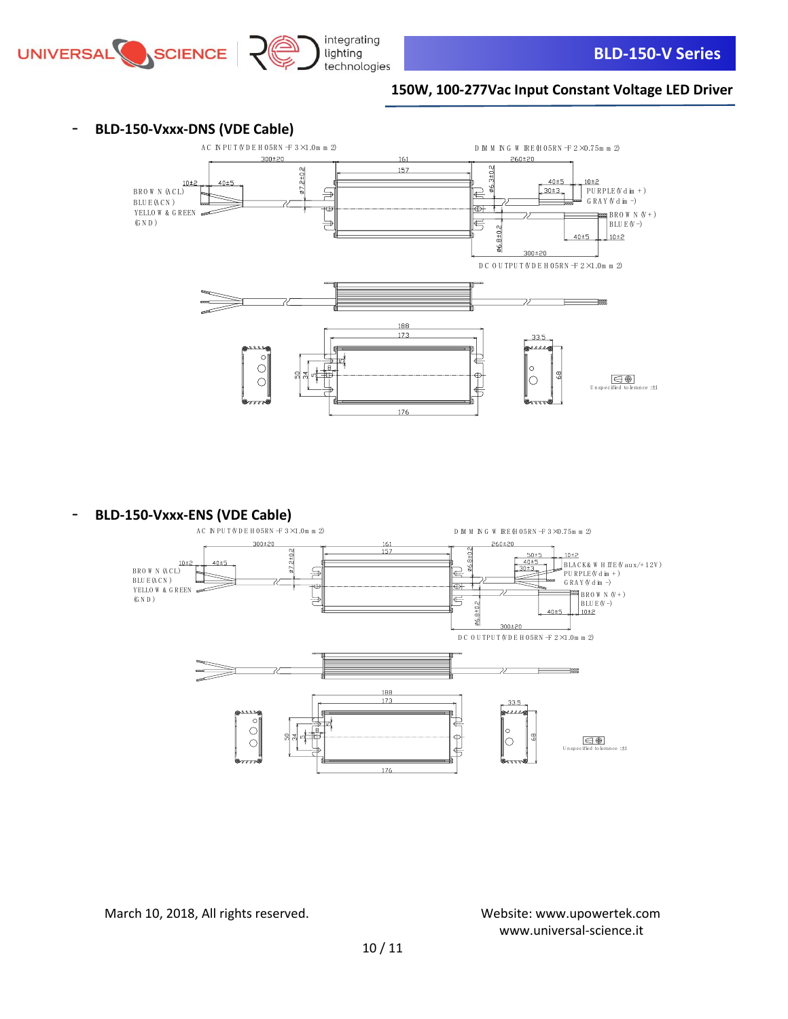

### - **BLD-150-Vxxx-DNS (VDE Cable)**



- **BLD-150-Vxxx-ENS (VDE Cable)**